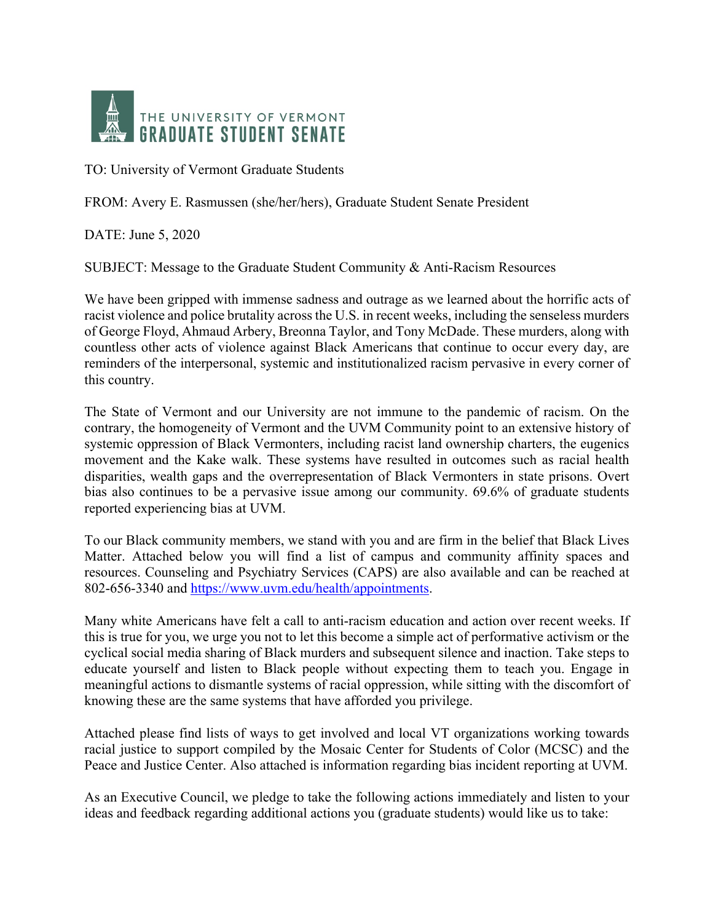

TO: University of Vermont Graduate Students

FROM: Avery E. Rasmussen (she/her/hers), Graduate Student Senate President

DATE: June 5, 2020

SUBJECT: Message to the Graduate Student Community & Anti-Racism Resources

We have been gripped with immense sadness and outrage as we learned about the horrific acts of racist violence and police brutality across the U.S. in recent weeks, including the senseless murders of George Floyd, Ahmaud Arbery, Breonna Taylor, and Tony McDade. These murders, along with countless other acts of violence against Black Americans that continue to occur every day, are reminders of the interpersonal, systemic and institutionalized racism pervasive in every corner of this country.

The State of Vermont and our University are not immune to the pandemic of racism. On the contrary, the homogeneity of Vermont and the UVM Community point to an extensive history of systemic oppression of Black Vermonters, including racist land ownership charters, the eugenics movement and the Kake walk. These systems have resulted in outcomes such as racial health disparities, wealth gaps and the overrepresentation of Black Vermonters in state prisons. Overt bias also continues to be a pervasive issue among our community. 69.6% of graduate students reported experiencing bias at UVM.

To our Black community members, we stand with you and are firm in the belief that Black Lives Matter. Attached below you will find a list of campus and community affinity spaces and resources. Counseling and Psychiatry Services (CAPS) are also available and can be reached at 802-656-3340 and https://www.uvm.edu/health/appointments.

Many white Americans have felt a call to anti-racism education and action over recent weeks. If this is true for you, we urge you not to let this become a simple act of performative activism or the cyclical social media sharing of Black murders and subsequent silence and inaction. Take steps to educate yourself and listen to Black people without expecting them to teach you. Engage in meaningful actions to dismantle systems of racial oppression, while sitting with the discomfort of knowing these are the same systems that have afforded you privilege.

Attached please find lists of ways to get involved and local VT organizations working towards racial justice to support compiled by the Mosaic Center for Students of Color (MCSC) and the Peace and Justice Center. Also attached is information regarding bias incident reporting at UVM.

As an Executive Council, we pledge to take the following actions immediately and listen to your ideas and feedback regarding additional actions you (graduate students) would like us to take: